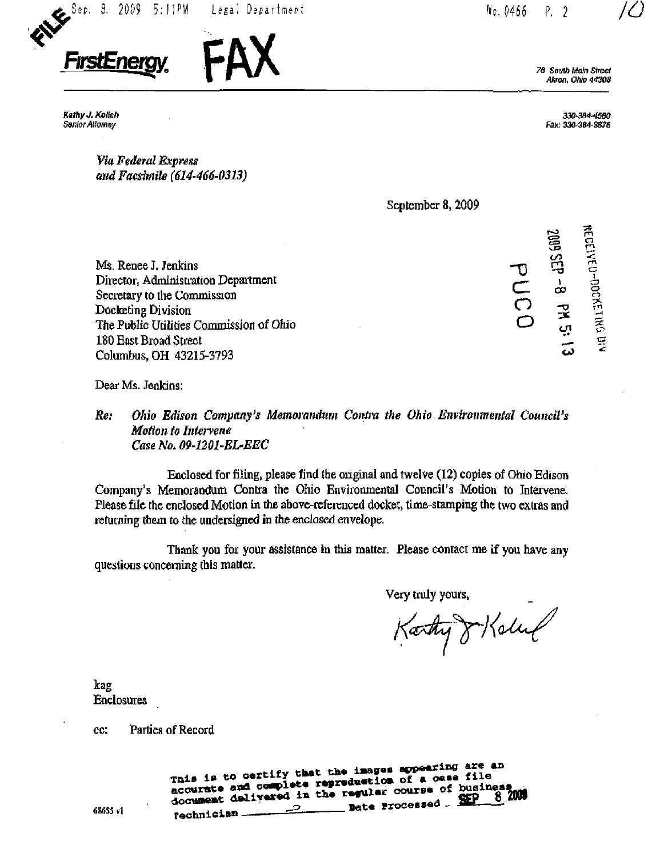



Akron, Ohio 44308

Kathy J. Kolich Senior Allomey

330-3a4-4680 Fax.' 330-3fi4-3e?S

55 m o

Via Federal Express and Facsimile (614-466-0313)

September 8, 2009

Ms. Renee J. Jenkins Director, Administration Department Secretary to the Commission Docketing Division The Public Utilities Commission of Ohio 180 East Broad Street Columbus, OH 43215-3793

 $\overline{0}$  $\overline{C}$ o s CO C3  $\frac{1}{\tau}$  $\overline{\phantom{a}}$  $\mathbf{\Phi}$ .<br>ट  $\frac{1}{2}$  $\widehat{\mathbf{r}}$ in  $\mathbf{C}$ ىيى

 $\widetilde{\mathbf{g}}$ 

Dear Ms. Jenkins:

## Re: Ohio Edison Company's Memorandum Contra the Ohio Environmental Council's Motion to Intervene Case No. 09-1201-EL-EEC

Enclosed for filing, please find the original and twelve (12) copies of Ohio Edison Company's Memorandum Contra the Ohio Environmental Council's Motion to Intervene. Please file the enclosed Motion in the above-referenced docket, time-stamping the two extras and returning them to the undersigned in the enclosed envelope.

Thank you for your assistance in this matter. Please contact me if you have any questions concerning this matter.

Very truly yours.

Karty 8 Koluf

kag Enclosures

cc: Parties of Record

This is to certify that the images appearing are an<br>mis is to certify that the images appearing file This is to certify that the images appearance file<br>accurate and complete reproduction of a case file accurate and complete regresseries of business<br>document delivered in the regular course of business Bate Processed \_ SEP  $\frac{1}{\sqrt{1-\frac{1}{\sqrt{1-\frac{1}{\sqrt{1-\frac{1}{\sqrt{1-\frac{1}{\sqrt{1-\frac{1}{\sqrt{1-\frac{1}{\sqrt{1-\frac{1}{\sqrt{1-\frac{1}{\sqrt{1-\frac{1}{\sqrt{1-\frac{1}{\sqrt{1-\frac{1}{\sqrt{1-\frac{1}{\sqrt{1-\frac{1}{\sqrt{1-\frac{1}{\sqrt{1-\frac{1}{\sqrt{1-\frac{1}{\sqrt{1-\frac{1}{\sqrt{1-\frac{1}{\sqrt{1-\frac{1}{\sqrt{1-\frac{1}{\sqrt{1-\frac{1}{\sqrt{1-\frac{1}{\sqrt{1-\frac{1}{\sqrt{1-\frac{1$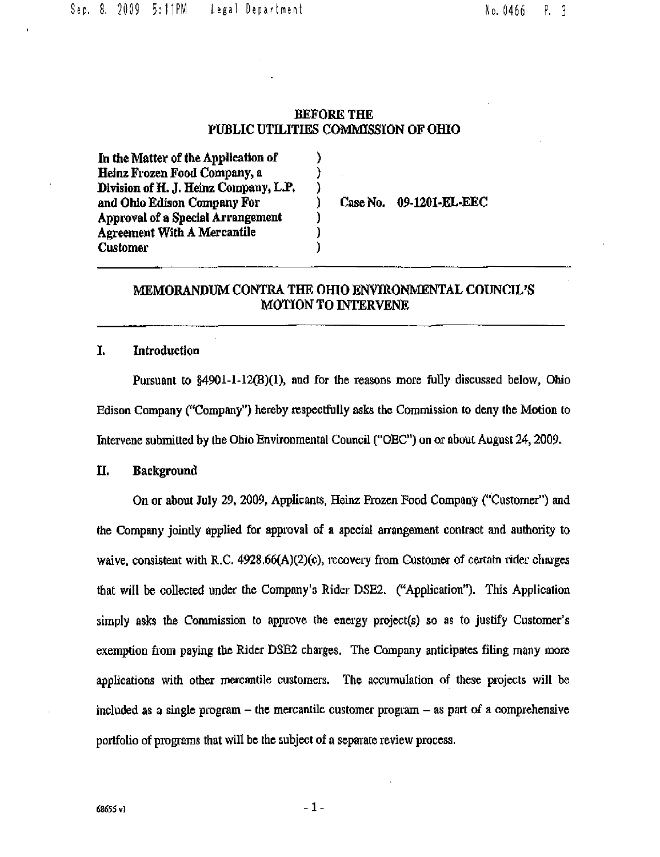### BEFORE THE PUBLIC UTILITIES COMMTSSION OF OfflO

λ  $\mathcal{C}$ )  $\lambda$ ſ 1 Y

In the Matter of the Application of Heinz Frozen Food Company, a Division of H. J, Heinz Company, L.P. and Ohio Edison Company For Approval of a Special Arrangement Agreement With A Mercantile Customer

CaseNo. 09-1201-EL-EEC

## MEMORANDUM CONTRA THE OHIO ENVIRONMENTAL COUNCIL'S MOTION TO INTERVENE

## I. Introduction

Pursuant to §4901-1-12(B)(I), and for the reasons more fully discussed below, Ohio Edison Company ("Company") hereby respectfully asks the Commission to deny the Motion to Intervene submitted by the Ohio Environmental Council ("OEC") on or about August 24, 2009.

# II. Background

On or about July 29, 2009, Applicants, Heinz Prozen Food Company ("Customer") and the Company jointly applied for approval of a special arrangement contract and authority to waive, consistent with R.C.  $4928.66(A)(2)(c)$ , recovery from Customer of certain rider charges that will be collected under the Company's Rider DSE2. ("Application"). This Application simply asks the Commission to approve the energy project(s) so as to justify Customer's exemption from paying the Rider DSE2 charges. The Company anticipates filing many more applications with other mercantile customers. The accumulation of these projects will be included as a single program – the mercantile customer program – as part of a comprehensive portfolio of programs that will be the subject of a separate review process.

 $-1-$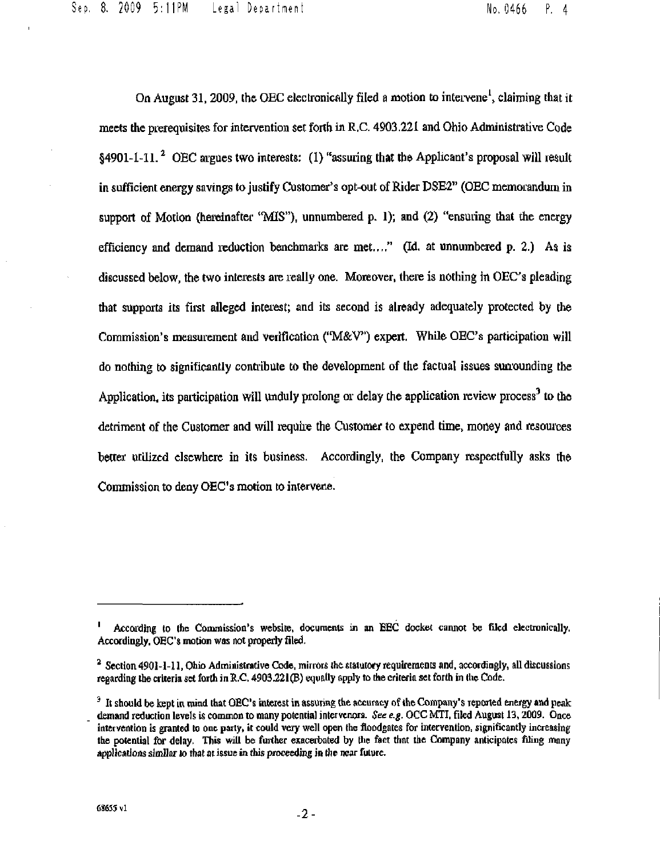Sep. 8. 2009 5:11PM Legal Department No, 0466 P, 4

On August 31, 2009, the OEC electronically filed a motion to intervene<sup>1</sup>, claiming that it meets the prerequisites for intervention set forth in R.C. 4903.221 and Ohio Administrative Code §4901-1-11. <sup>2</sup> OEC argues two interests: (1) "assuring that the Applicant's proposal will result in sufficient energy savings to justify Customer\*s opt-out of Rider DSE2" (OEC memorandum in support of Motion (hereinafter "MIS"), unnumbered p. 1); and  $(2)$  "ensuring that the energy efficiency and demand reduction benchmarks are met...." (Id, at unnumbered  $p$ , 2.) As is discussed below, the two interests are really one. Moreover, there is nothing in OEC's pleading that supports its first alleged interest; and its second is already adequately protected by the Commission's measurement and verification ("M&V") expert. While OEC's participation will do nothing to significantly contribute to the development of the factual issues sun'ounding the Application, its participation will unduly prolong or delay the application review process<sup>3</sup> to the detriment of the Customer and will require the Customer to expend time, money and resources better utilized elsewhere in its business. Accordingly, the Company respectfully asks the Commission to deny OEC's motion to intervene.

According to the Commission's website, documents in an EEC docket cannot be filed electronically. Accordingly, OEC's motion was not properly filed.

 $^2$  Section 4901-1-11, Ohio Administrative Code, mirrors the statutory requirements and, accordingly, all discussions regarding the criteria set forth in R.C. 4903.221(B) equally apply to the criteria set forth in the Code.

 $3$  It should be kept in mind that OEC's interest in assuring the accuracy of the Company's reported energy and peak demand reduction levels is common to many potential intervenors. See e.g. OCC MTI, filed August 13, 2009. Once intervention is granted to one party, it could very well open the floodgates for intervention, significantly increasing the potential for delay. This will be further exacerbated by the fact that the Company anticipates filing many applications similar to that at issue in this proceeding in the near future.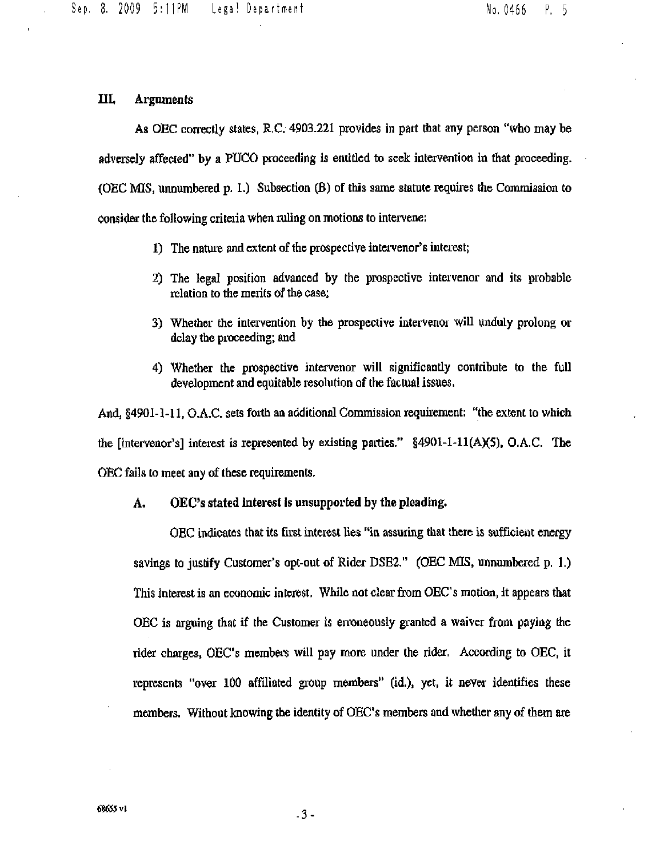# III, Arguments

As OEC correctly states, R.C.  $4903.221$  provides in part that any person "who may be adversely affected" by a PUCO proceeding is entitled to seek intervention in that proceeding. (OEC MIS, unnumbered p. 1.) Subsection (B) of this same statute requues the Commission to consider the following criteria when ruling on motions to intervene:

- 1) The nature and extent of the prospective intervenor's interest;
- 2) The legal position advanced by the prospective intervenor and its probable relation to the merits of the case;
- 3) Whether the intervention by the prospective intervenor will unduly prolong or delay the proceeding; and
- 4) Whether the prospective intervenor will significantly contribute to the full development and equitable resolution of the factual issues.

And,  $§4901-1-11$ , O.A.C. sets forth an additional Commission requirement: "the extent to which the [intervenor's] interest is represented by existing parties."  $§4901-1-11(A)(5)$ , O.A.C. The OEC fails to meet any of these requirements.

#### A. OEC's stated interest is unsupported by the pleading.

OEC indicates that its first interest lies '\*in assuring that there is sufficient energy savings to justify Customer's opt-out of Rider DSE2," (OEC MIS, unnumbered p. L) This interest is an economic interest. While not clear from OEC's motion, it appears that OEC is arguing that if the Customer is enoneously granted a waiver from paying the rider charges, OEC's members will pay more under the rider. According to OEC, it represents "over 100 affiliated group members" (id.), yet, it never identifies these members. Without knowing the identity of OEC's members and whether any of them are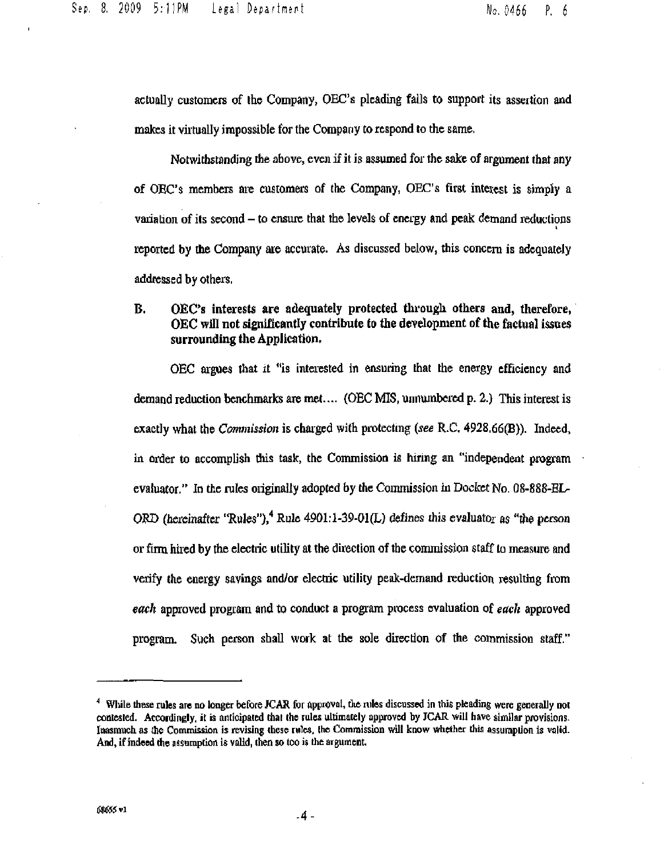actually customers of the Company, OEC's pleading fails to support its assertion and makes it virtually impossible for the Company to respond to the same.

Notwithstanding the above, even if it is assumed for the sake of argument that any of OEC's members are customers of the Company, OEC's first interest is simply a variation of its second  $-$  to ensure that the levels of energy and peak demand reductions reported by the Company are accurate. As discussed below, this concern is adequately addressed by others.

## B. OEC's interests are adequately protected through others and, therefore, OEC will not significantly contribute to the development of the factual issues surrounding the Application.

OEC argues that it "is interested in ensuring that the energy efficiency and demand reduction benchmarks are met.... (OEC MIS, unnumbered p. 2.) This interest is exactly what the *Commission* is charged with protecting (see R.C.  $4928.66(B)$ ). Indeed, in order to accomplish this task, the Commission is hiring an "independent program evaluator." In the rules originally adopted by the Commission in Docket No. 08-888-EL-ORD (hereinafter "Rules"),<sup>4</sup> Rule 4901:1-39-01(L) defines this evaluato<sub>r</sub> as "the person or firm hired by the electric utility at the direction of the commission staff to measure and verify the energy savings and/or electiic utility peak-demand reduction resulting from each approved program and to conduct a program process evaluation of each approved program. Such person shall work at the sole direction of the commission staff."

 $<sup>4</sup>$  While these rules are no longer before JCAR for approval, the rules discussed in this pleading were generally not</sup> contested. Accordingly, it is anticipated that the rules ultimately approved by JCAR will have similar provisions. Inasmuch as the Commission is revising these rules, the Commission will know whether this assumption is valid. And, if indeed the assumption is valid, then so too is the argument.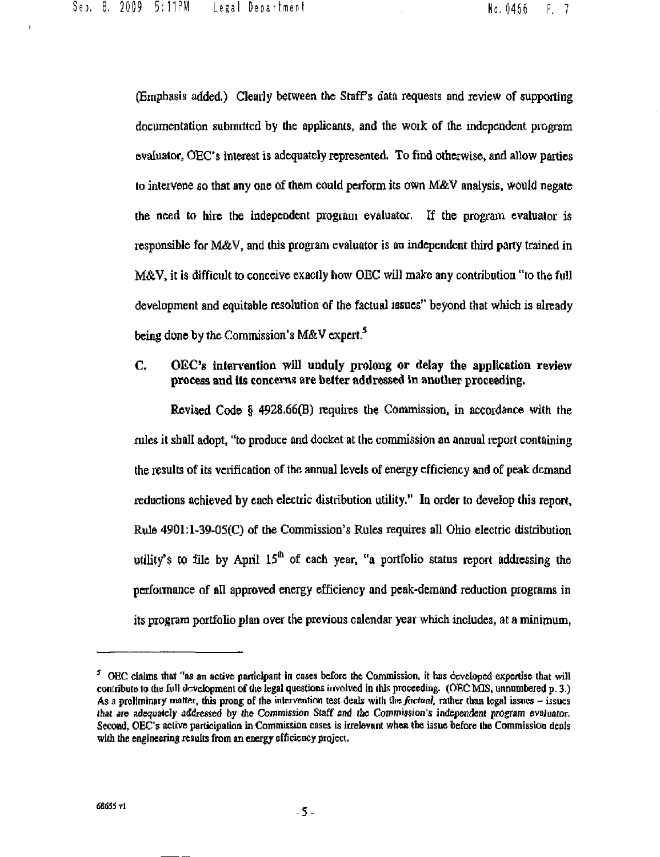(Emphasis added.) Clearly between the Staff's data requests and review of supporting documentation submitted by the applicants, and the work of the independent program evaluator, OEC's interest is adequately represented. To find otherwise, and allow parties to intervene so that any one of them could perform its own M&V analysis, would negate the need to hire the independent program evaluator. If the program evaluator is responsible for M&V, and this program evaluator is an independent third party trained in M&V, it is difficult to conceive exactly how OEC will make any contribution "to the full development and equitable resolution of the factual issues" beyond that which is already being done by the Commission's  $M\&V$  expert.<sup>5</sup>

## C. OEC's intervention will unduly prolong or delay the application review process and its concerns are better addressed in another proceeding.

Revised Code § 4928.66(B) requires the Commission, m accordance with the rules it shall adopt, "to produce and docket at the commission an annual report containing the results of its verification of the annual levels of energy efficiency and of peak demand reductions achieved by each electric distribution utility." In order to develop this report, Rule 4901:1-39-05(0) of the Commission's Rules requires all Ohio electric distribution utility's to file by April  $15<sup>th</sup>$  of each year, "a portfolio status report addressing the performance of all approved energy efficiency and peak-demand reduction programs in its program portfolio plan over the previous calendar year which includes, at a minimum,

 $<sup>5</sup>$  OEC claims that "as an active participant in cases before the Commission, it has developed expertise that will</sup> contribute to the full development of the legal questions involved in this proceeding. (OEC MIS, unnumbered  $p. 3$ .) As a preliminary matter, this prong of the intervention test deals with the *factual*, rather than legal issues  $\sim$  issues that are adequately addressed by the Commission Staff and the Commission's independent program evaluator. Second, OEC's active participation in Commission cases is irrelevant when the issue before the Commission deals with the engineering results from an energy efficiency project.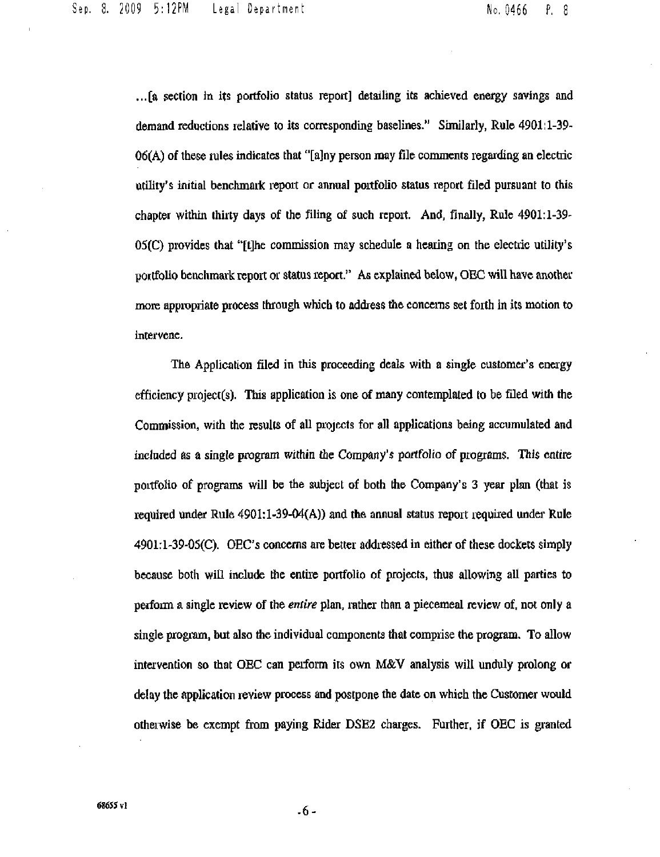...[a section in its portfolio status report] detailing its achieved energy savings and demand reductions relative to its corresponding baselines." Similarly, Rule 4901:1-39- $06(A)$  of these rules indicates that "[a]ny person may file comments regarding an electric utility's initial benchmark report or annual portfolio status report filed pursuant to this chapter within thirty days of the filing of such report. And, finally, Rule 4901:1-39-  $05(C)$  provides that "[t]he commission may schedule a hearing on the electric utility's portfolio benchmark report or status report." As explained below, OEC will have another more appropriate process through which to address the concerns set forth in its motion to intervene.

The Application filed in this proceeding deals with a single customer's energy efficiency project(s). This application is one of many contemplated to be filed with the Commission, with the results of all projects for all applications being accumulated and included as a single program within the Company's portfolio of programs. This entire portfolio of programs will be the subject of both the Company's 3 year plan (that is required under Rule  $4901:1-39-04(A)$  and the annual status report required under Rule 4901:l-39-05(C). OEC's concerns are better addressed in either of these dockets simply because both will include the entire portfolio of projects, thus allowing all parties to perform a single review of the *entire* plan, rather than a piecemeal review of, not only a single program, but also the individual components that comprise the program. To allow intervention so that OEC can perform its own M&V analysis will unduly prolong or delay the application review process and postpone the date on which the Customer would otherwise be exempt from paying Rider DSE2 charges. Further, if OEC is granted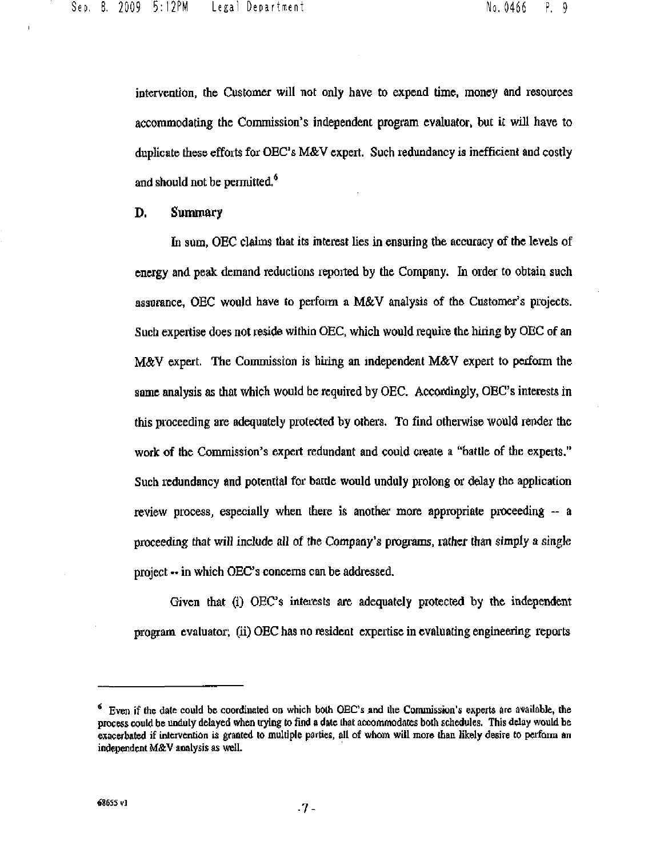intervention, the Customer will not only have to expend time, money and resources accommodating the Commission's independent program evaluator, but it will have to duplicate these efforts for OEC's M&V expert. Such redundancy is inefficient and costly and should not be permitted.<sup>9</sup>

D. Summary

In sum, OEC claims that its interest hes in ensuring the accuracy of the levels of energy and peak demand reductions reported by the Company. In order to obtain such assurance, OEC would have to perform a M&V analysis of the Customer's projects. Such expertise does not reside within OEC, which would require the hiring by OEC of an M&V expert. The Commission is hiring an mdependent M&V expert to perfonn the same analysis as that which would be required by OEC. Accordingly, OEC's interests in this proceeding are adequately protected by others. To find otherwise would render the work of the Commission's expert redundant and could create a ''battle of the experts." Such redundancy and potential for battle would unduly prolong or delay the application review process, especially when there is another more appropriate proceeding  $-$  a proceeding that will include all of the Company's programs, rather than simply a single project -- in which OEC's concerns can be addressed.

Given that (i) OEC's interests are adequately protected by the independent program evaluator; (ii) OEC has no resident expertise in evaluating engineering reports

 $<sup>6</sup>$  Even if the date could be coordinated on which both OEC's and the Commission's experts arc available, the</sup> process could be unduly delayed when trying to find o date that accommodates both schedules. This delay would be exacerbated if intervention is granted to multiple parties, all of whom will more than likely desire to perform an independent M&V analysis as well.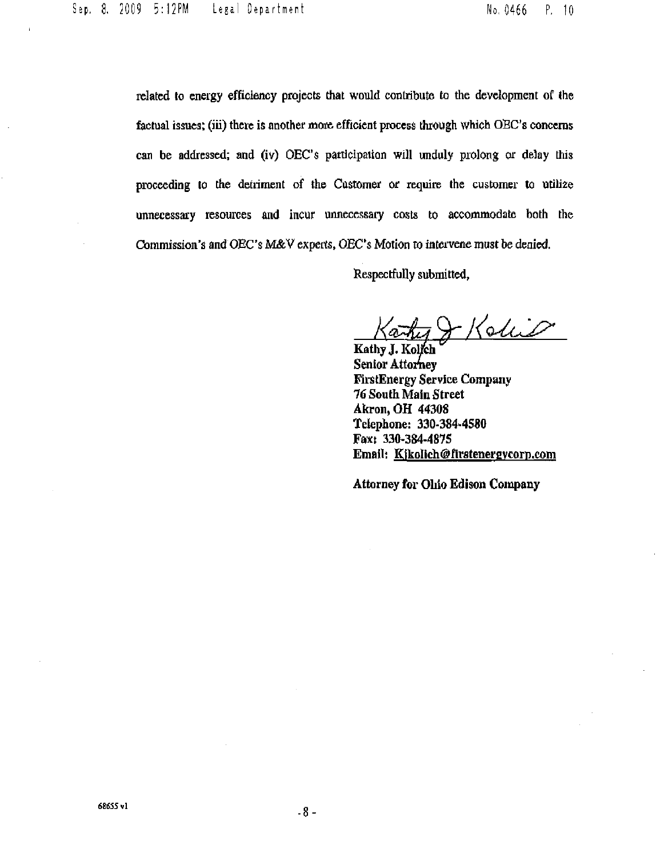related to energy efficiency projects that would contribute to the development of the factual issues; (iii) there is another more efficient process through which OEC's concerns can be addressed; and (iv) OEC's participation will unduly prolong or delay this proceeding to the detriment of the Customer or require the customer to utili2e unnecessary resources and incur unnecessary costs to accommodate both the Commission's and OEC's M&V experts, OEC's Motion to intervene must be denied.

Respectfully submitted.

^)<!<UO:JP '

Kathy J. Kolich Senior Attorney FirstEnergy Service Company 76 South Main Street Akron, OH 44308 Telephone: 330-384^4580 Fax: 330-3S4-487S Email: [Kikolich@rirstenergvcorn.com](mailto:Kikolich@rirstenergvcorn.com)

Attorney for Oliio Edison Company